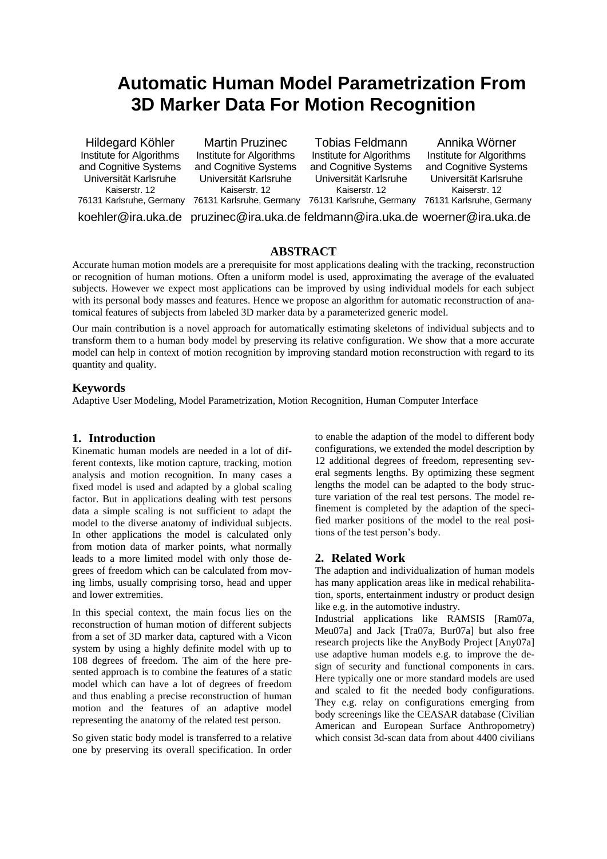# **Automatic Human Model Parametrization From 3D Marker Data For Motion Recognition**

Hildegard Köhler Institute for Algorithms and Cognitive Systems Universität Karlsruhe Kaiserstr. 12 76131 Karlsruhe, Germany 76131 Karlsruhe, Germany 76131 Karlsruhe, Germany 76131 Karlsruhe, Germany

Martin Pruzinec Institute for Algorithms and Cognitive Systems Universität Karlsruhe Kaiserstr. 12

Tobias Feldmann Institute for Algorithms and Cognitive Systems Universität Karlsruhe Kaiserstr. 12

Annika Wörner Institute for Algorithms and Cognitive Systems Universität Karlsruhe Kaiserstr. 12

koehler@ira.uka.de pruzinec@ira.uka.de feldmann@ira.uka.de woerner@ira.uka.de

## **ABSTRACT**

Accurate human motion models are a prerequisite for most applications dealing with the tracking, reconstruction or recognition of human motions. Often a uniform model is used, approximating the average of the evaluated subjects. However we expect most applications can be improved by using individual models for each subject with its personal body masses and features. Hence we propose an algorithm for automatic reconstruction of anatomical features of subjects from labeled 3D marker data by a parameterized generic model.

Our main contribution is a novel approach for automatically estimating skeletons of individual subjects and to transform them to a human body model by preserving its relative configuration. We show that a more accurate model can help in context of motion recognition by improving standard motion reconstruction with regard to its quantity and quality.

## **Keywords**

Adaptive User Modeling, Model Parametrization, Motion Recognition, Human Computer Interface

## **1. Introduction**

Kinematic human models are needed in a lot of different contexts, like motion capture, tracking, motion analysis and motion recognition. In many cases a fixed model is used and adapted by a global scaling factor. But in applications dealing with test persons data a simple scaling is not sufficient to adapt the model to the diverse anatomy of individual subjects. In other applications the model is calculated only from motion data of marker points, what normally leads to a more limited model with only those degrees of freedom which can be calculated from moving limbs, usually comprising torso, head and upper and lower extremities.

In this special context, the main focus lies on the reconstruction of human motion of different subjects from a set of 3D marker data, captured with a Vicon system by using a highly definite model with up to 108 degrees of freedom. The aim of the here presented approach is to combine the features of a static model which can have a lot of degrees of freedom and thus enabling a precise reconstruction of human motion and the features of an adaptive model representing the anatomy of the related test person.

So given static body model is transferred to a relative one by preserving its overall specification. In order

to enable the adaption of the model to different body configurations, we extended the model description by 12 additional degrees of freedom, representing several segments lengths. By optimizing these segment lengths the model can be adapted to the body structure variation of the real test persons. The model refinement is completed by the adaption of the specified marker positions of the model to the real positions of the test person's body.

## **2. Related Work**

The adaption and individualization of human models has many application areas like in medical rehabilitation, sports, entertainment industry or product design like e.g. in the automotive industry.

Industrial applications like RAMSIS [Ram07a, Meu07a] and Jack [Tra07a, Bur07a] but also free research projects like the AnyBody Project [Any07a] use adaptive human models e.g. to improve the design of security and functional components in cars. Here typically one or more standard models are used and scaled to fit the needed body configurations. They e.g. relay on configurations emerging from body screenings like the CEASAR database (Civilian American and European Surface Anthropometry) which consist 3d-scan data from about 4400 civilians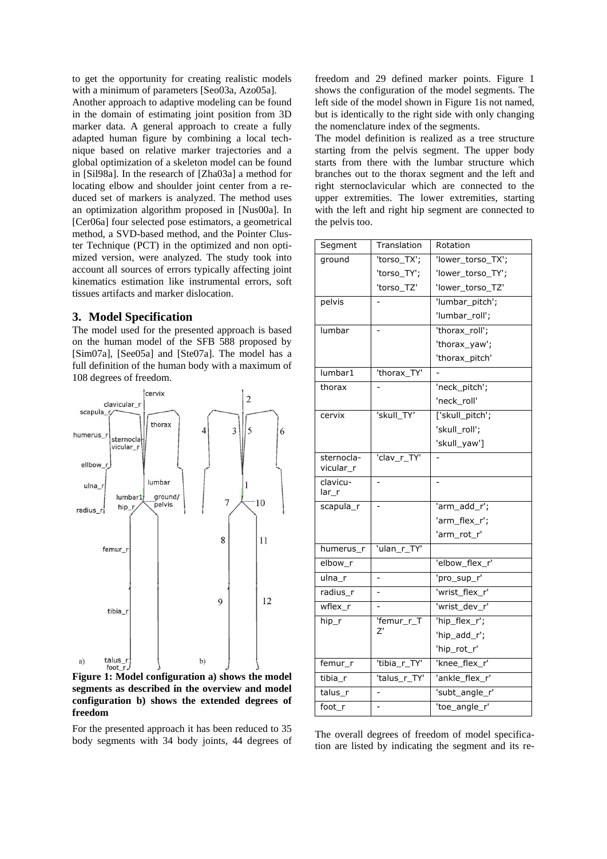to get the opportunity for creating realistic models with a minimum of parameters [Seo03a, Azo05a].

Another approach to adaptive modeling can be found in the domain of estimating joint position from 3D marker data. A general approach to create a fully adapted human figure by combining a local technique based on relative marker trajectories and a global optimization of a skeleton model can be found in [Sil98a]. In the research of [Zha03a] a method for locating elbow and shoulder joint center from a reduced set of markers is analyzed. The method uses an optimization algorithm proposed in [Nus00a]. In [Cer06a] four selected pose estimators, a geometrical method, a SVD-based method, and the Pointer Cluster Technique (PCT) in the optimized and non optimized version, were analyzed. The study took into account all sources of errors typically affecting joint kinematics estimation like instrumental errors, soft tissues artifacts and marker dislocation.

#### **3. Model Specification**

The model used for the presented approach is based on the human model of the SFB 588 proposed by [Sim07a], [See05a] and [Ste07a]. The model has a full definition of the human body with a maximum of 108 degrees of freedom.



**Figure 1: Model configuration a) shows the model segments as described in the overview and model configuration b) shows the extended degrees of freedom**

For the presented approach it has been reduced to 35 body segments with 34 body joints, 44 degrees of

freedom and 29 defined marker points. Figure 1 shows the configuration of the model segments. The left side of the model shown in Figure 1is not named, but is identically to the right side with only changing the nomenclature index of the segments.

The model definition is realized as a tree structure starting from the pelvis segment. The upper body starts from there with the lumbar structure which branches out to the thorax segment and the left and right sternoclavicular which are connected to the upper extremities. The lower extremities, starting with the left and right hip segment are connected to the pelvis too.

| Segment                 | Translation    | Rotation          |
|-------------------------|----------------|-------------------|
| ground                  | 'torso_TX';    | 'lower_torso_TX'; |
|                         | 'torso_TY';    | 'lower_torso_TY'; |
|                         | 'torso_TZ'     | 'lower_torso_TZ'  |
| pelvis                  |                | 'lumbar_pitch';   |
|                         |                | 'lumbar_roll';    |
| lumbar                  |                | 'thorax roll';    |
|                         |                | 'thorax_yaw';     |
|                         |                | 'thorax_pitch'    |
| lumbar1                 | 'thorax_TY'    |                   |
| thorax                  |                | 'neck_pitch';     |
|                         |                | 'neck roll'       |
| cervix                  | 'skull TY'     | ['skull_pitch';   |
|                         |                | 'skull_roll';     |
|                         |                | 'skull_yaw']      |
| sternocla-<br>vicular_r | 'clav_r_TY'    |                   |
|                         |                |                   |
| clavicu-<br>$lar_r$     |                |                   |
| scapula_r               |                | 'arm_add_r';      |
|                         |                | 'arm flex r';     |
|                         |                | 'arm_rot_r'       |
| humerus r               | 'ulan_r_TY'    |                   |
| elbow r                 |                | 'elbow_flex_r'    |
| ulna r                  |                | 'pro_sup_r'       |
| radius r                | $\overline{a}$ | 'wrist flex r'    |
| wflex r                 |                | 'wrist_dev_r'     |
| hip_r                   | 'femur_r_T     | 'hip_flex_r';     |
|                         | Z'             | 'hip_add_r';      |
|                         |                | 'hip_rot_r'       |
| femur_r                 | 'tibia_r_TY'   | 'knee flex r'     |
| tibia_r                 | 'talus_r_TY'   | 'ankle_flex_r'    |
| talus r                 |                | 'subt_angle_r'    |

The overall degrees of freedom of model specification are listed by indicating the segment and its re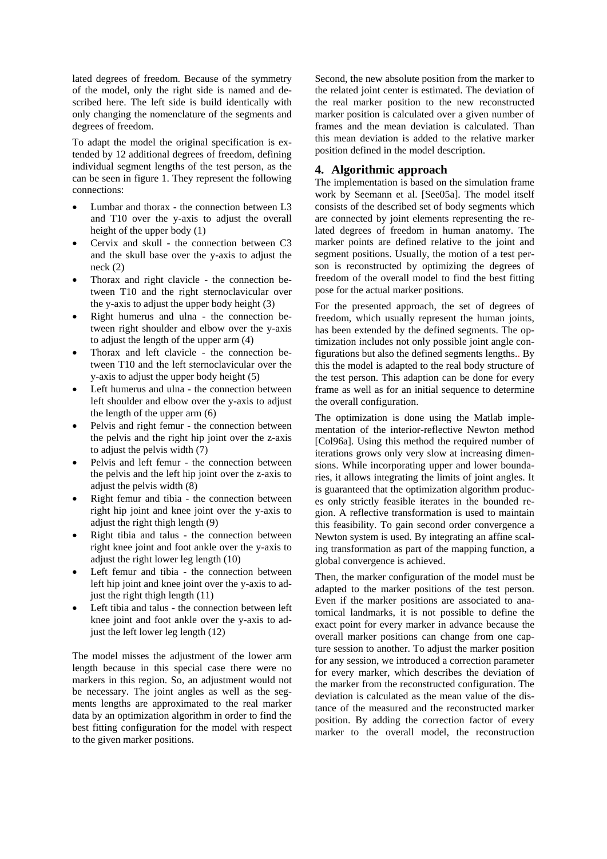lated degrees of freedom. Because of the symmetry of the model, only the right side is named and described here. The left side is build identically with only changing the nomenclature of the segments and degrees of freedom.

To adapt the model the original specification is extended by 12 additional degrees of freedom, defining individual segment lengths of the test person, as the can be seen in figure 1. They represent the following connections:

- Lumbar and thorax the connection between L3 and T10 over the y-axis to adjust the overall height of the upper body (1)
- Cervix and skull the connection between C3 and the skull base over the y-axis to adjust the neck (2)
- Thorax and right clavicle the connection between T10 and the right sternoclavicular over the y-axis to adjust the upper body height (3)
- Right humerus and ulna the connection between right shoulder and elbow over the y-axis to adjust the length of the upper arm (4)
- Thorax and left clavicle the connection between T10 and the left sternoclavicular over the y-axis to adjust the upper body height (5)
- Left humerus and ulna the connection between left shoulder and elbow over the y-axis to adjust the length of the upper arm (6)
- Pelvis and right femur the connection between the pelvis and the right hip joint over the z-axis to adjust the pelvis width (7)
- Pelvis and left femur the connection between the pelvis and the left hip joint over the z-axis to adjust the pelvis width (8)
- Right femur and tibia the connection between right hip joint and knee joint over the y-axis to adjust the right thigh length (9)
- Right tibia and talus the connection between right knee joint and foot ankle over the y-axis to adjust the right lower leg length (10)
- Left femur and tibia the connection between left hip joint and knee joint over the y-axis to adjust the right thigh length (11)
- Left tibia and talus the connection between left knee joint and foot ankle over the y-axis to adjust the left lower leg length (12)

The model misses the adjustment of the lower arm length because in this special case there were no markers in this region. So, an adjustment would not be necessary. The joint angles as well as the segments lengths are approximated to the real marker data by an optimization algorithm in order to find the best fitting configuration for the model with respect to the given marker positions.

Second, the new absolute position from the marker to the related joint center is estimated. The deviation of the real marker position to the new reconstructed marker position is calculated over a given number of frames and the mean deviation is calculated. Than this mean deviation is added to the relative marker position defined in the model description.

## **4. Algorithmic approach**

The implementation is based on the simulation frame work by Seemann et al. [See05a]. The model itself consists of the described set of body segments which are connected by joint elements representing the related degrees of freedom in human anatomy. The marker points are defined relative to the joint and segment positions. Usually, the motion of a test person is reconstructed by optimizing the degrees of freedom of the overall model to find the best fitting pose for the actual marker positions.

For the presented approach, the set of degrees of freedom, which usually represent the human joints, has been extended by the defined segments. The optimization includes not only possible joint angle configurations but also the defined segments lengths.. By this the model is adapted to the real body structure of the test person. This adaption can be done for every frame as well as for an initial sequence to determine the overall configuration.

The optimization is done using the Matlab implementation of the interior-reflective Newton method [Col96a]. Using this method the required number of iterations grows only very slow at increasing dimensions. While incorporating upper and lower boundaries, it allows integrating the limits of joint angles. It is guaranteed that the optimization algorithm produces only strictly feasible iterates in the bounded region. A reflective transformation is used to maintain this feasibility. To gain second order convergence a Newton system is used. By integrating an affine scaling transformation as part of the mapping function, a global convergence is achieved.

Then, the marker configuration of the model must be adapted to the marker positions of the test person. Even if the marker positions are associated to anatomical landmarks, it is not possible to define the exact point for every marker in advance because the overall marker positions can change from one capture session to another. To adjust the marker position for any session, we introduced a correction parameter for every marker, which describes the deviation of the marker from the reconstructed configuration. The deviation is calculated as the mean value of the distance of the measured and the reconstructed marker position. By adding the correction factor of every marker to the overall model, the reconstruction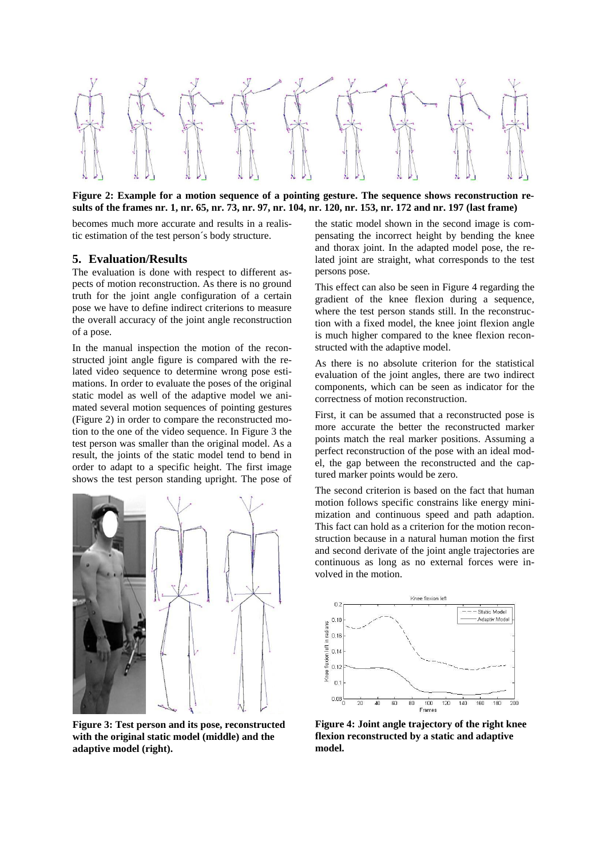

**Figure 2: Example for a motion sequence of a pointing gesture. The sequence shows reconstruction results of the frames nr. 1, nr. 65, nr. 73, nr. 97, nr. 104, nr. 120, nr. 153, nr. 172 and nr. 197 (last frame)**

becomes much more accurate and results in a realistic estimation of the test person´s body structure.

#### **5. Evaluation/Results**

The evaluation is done with respect to different aspects of motion reconstruction. As there is no ground truth for the joint angle configuration of a certain pose we have to define indirect criterions to measure the overall accuracy of the joint angle reconstruction of a pose.

In the manual inspection the motion of the reconstructed joint angle figure is compared with the related video sequence to determine wrong pose estimations. In order to evaluate the poses of the original static model as well of the adaptive model we animated several motion sequences of pointing gestures (Figure 2) in order to compare the reconstructed motion to the one of the video sequence. In Figure 3 the test person was smaller than the original model. As a result, the joints of the static model tend to bend in order to adapt to a specific height. The first image shows the test person standing upright. The pose of



**Figure 3: Test person and its pose, reconstructed with the original static model (middle) and the adaptive model (right).**

the static model shown in the second image is compensating the incorrect height by bending the knee and thorax joint. In the adapted model pose, the related joint are straight, what corresponds to the test persons pose.

This effect can also be seen in Figure 4 regarding the gradient of the knee flexion during a sequence, where the test person stands still. In the reconstruction with a fixed model, the knee joint flexion angle is much higher compared to the knee flexion reconstructed with the adaptive model.

As there is no absolute criterion for the statistical evaluation of the joint angles, there are two indirect components, which can be seen as indicator for the correctness of motion reconstruction.

First, it can be assumed that a reconstructed pose is more accurate the better the reconstructed marker points match the real marker positions. Assuming a perfect reconstruction of the pose with an ideal model, the gap between the reconstructed and the captured marker points would be zero.

The second criterion is based on the fact that human motion follows specific constrains like energy minimization and continuous speed and path adaption. This fact can hold as a criterion for the motion reconstruction because in a natural human motion the first and second derivate of the joint angle trajectories are continuous as long as no external forces were involved in the motion.



**Figure 4: Joint angle trajectory of the right knee flexion reconstructed by a static and adaptive model.**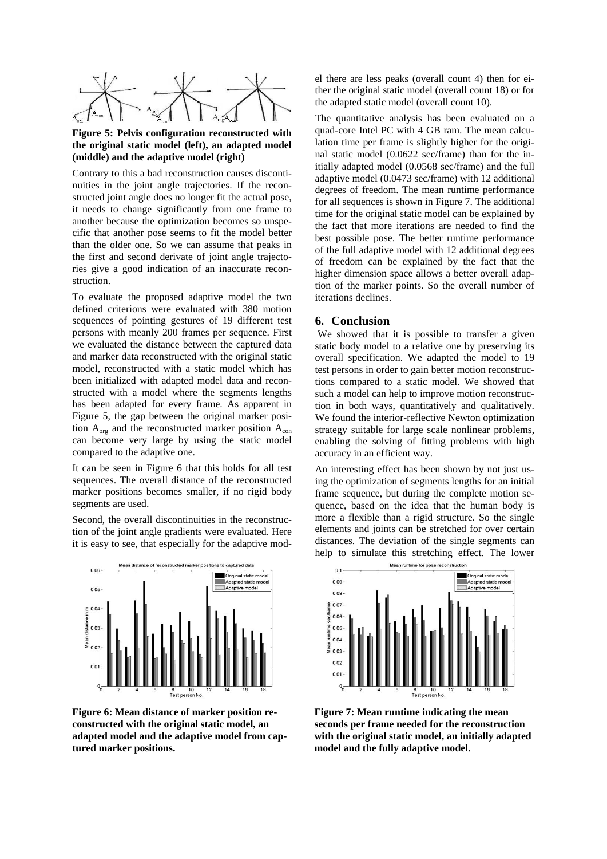

#### **Figure 5: Pelvis configuration reconstructed with the original static model (left), an adapted model (middle) and the adaptive model (right)**

Contrary to this a bad reconstruction causes discontinuities in the joint angle trajectories. If the reconstructed joint angle does no longer fit the actual pose, it needs to change significantly from one frame to another because the optimization becomes so unspecific that another pose seems to fit the model better than the older one. So we can assume that peaks in the first and second derivate of joint angle trajectories give a good indication of an inaccurate reconstruction.

To evaluate the proposed adaptive model the two defined criterions were evaluated with 380 motion sequences of pointing gestures of 19 different test persons with meanly 200 frames per sequence. First we evaluated the distance between the captured data and marker data reconstructed with the original static model, reconstructed with a static model which has been initialized with adapted model data and reconstructed with a model where the segments lengths has been adapted for every frame. As apparent in Figure 5, the gap between the original marker position  $A_{org}$  and the reconstructed marker position  $A_{con}$ can become very large by using the static model compared to the adaptive one.

It can be seen in Figure 6 that this holds for all test sequences. The overall distance of the reconstructed marker positions becomes smaller, if no rigid body segments are used.

Second, the overall discontinuities in the reconstruction of the joint angle gradients were evaluated. Here it is easy to see, that especially for the adaptive mod-



**Figure 6: Mean distance of marker position reconstructed with the original static model, an adapted model and the adaptive model from captured marker positions.**

el there are less peaks (overall count 4) then for either the original static model (overall count 18) or for the adapted static model (overall count 10).

The quantitative analysis has been evaluated on a quad-core Intel PC with 4 GB ram. The mean calculation time per frame is slightly higher for the original static model (0.0622 sec/frame) than for the initially adapted model (0.0568 sec/frame) and the full adaptive model (0.0473 sec/frame) with 12 additional degrees of freedom. The mean runtime performance for all sequences is shown in Figure 7. The additional time for the original static model can be explained by the fact that more iterations are needed to find the best possible pose. The better runtime performance of the full adaptive model with 12 additional degrees of freedom can be explained by the fact that the higher dimension space allows a better overall adaption of the marker points. So the overall number of iterations declines.

#### **6. Conclusion**

We showed that it is possible to transfer a given static body model to a relative one by preserving its overall specification. We adapted the model to 19 test persons in order to gain better motion reconstructions compared to a static model. We showed that such a model can help to improve motion reconstruction in both ways, quantitatively and qualitatively. We found the interior-reflective Newton optimization strategy suitable for large scale nonlinear problems, enabling the solving of fitting problems with high accuracy in an efficient way.

An interesting effect has been shown by not just using the optimization of segments lengths for an initial frame sequence, but during the complete motion sequence, based on the idea that the human body is more a flexible than a rigid structure. So the single elements and joints can be stretched for over certain distances. The deviation of the single segments can help to simulate this stretching effect. The lower



**Figure 7: Mean runtime indicating the mean seconds per frame needed for the reconstruction with the original static model, an initially adapted model and the fully adaptive model.**